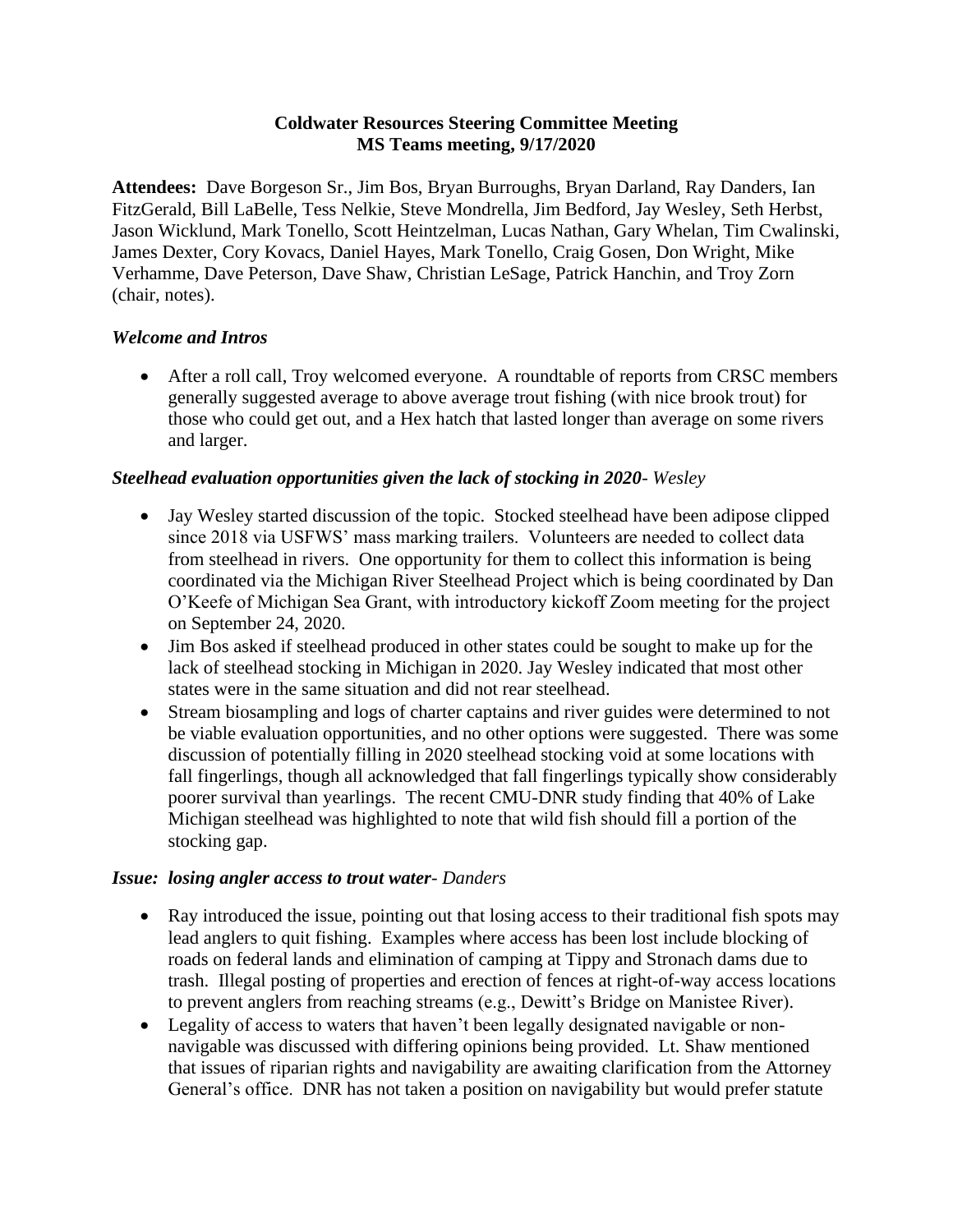#### **Coldwater Resources Steering Committee Meeting MS Teams meeting, 9/17/2020**

 (chair, notes). **Attendees:** Dave Borgeson Sr., Jim Bos, Bryan Burroughs, Bryan Darland, Ray Danders, Ian FitzGerald, Bill LaBelle, Tess Nelkie, Steve Mondrella, Jim Bedford, Jay Wesley, Seth Herbst, Jason Wicklund, Mark Tonello, Scott Heintzelman, Lucas Nathan, Gary Whelan, Tim Cwalinski, James Dexter, Cory Kovacs, Daniel Hayes, Mark Tonello, Craig Gosen, Don Wright, Mike Verhamme, Dave Peterson, Dave Shaw, Christian LeSage, Patrick Hanchin, and Troy Zorn

### *Welcome and Intros*

• After a roll call, Troy welcomed everyone. A roundtable of reports from CRSC members generally suggested average to above average trout fishing (with nice brook trout) for those who could get out, and a Hex hatch that lasted longer than average on some rivers and larger.

## *Steelhead evaluation opportunities given the lack of stocking in 2020- Wesley*

- from steelhead in rivers. One opportunity for them to collect this information is being • Jay Wesley started discussion of the topic. Stocked steelhead have been adipose clipped since 2018 via USFWS' mass marking trailers. Volunteers are needed to collect data coordinated via the Michigan River Steelhead Project which is being coordinated by Dan O'Keefe of Michigan Sea Grant, with introductory kickoff Zoom meeting for the project on September 24, 2020.
- Jim Bos asked if steelhead produced in other states could be sought to make up for the lack of steelhead stocking in Michigan in 2020. Jay Wesley indicated that most other states were in the same situation and did not rear steelhead.
- Stream biosampling and logs of charter captains and river guides were determined to not be viable evaluation opportunities, and no other options were suggested. There was some discussion of potentially filling in 2020 steelhead stocking void at some locations with fall fingerlings, though all acknowledged that fall fingerlings typically show considerably poorer survival than yearlings. The recent CMU-DNR study finding that 40% of Lake Michigan steelhead was highlighted to note that wild fish should fill a portion of the stocking gap.

### *Issue: losing angler access to trout water- Danders*

- Ray introduced the issue, pointing out that losing access to their traditional fish spots may lead anglers to quit fishing. Examples where access has been lost include blocking of roads on federal lands and elimination of camping at Tippy and Stronach dams due to trash. Illegal posting of properties and erection of fences at right-of-way access locations to prevent anglers from reaching streams (e.g., Dewitt's Bridge on Manistee River).
- Legality of access to waters that haven't been legally designated navigable or nonnavigable was discussed with differing opinions being provided. Lt. Shaw mentioned that issues of riparian rights and navigability are awaiting clarification from the Attorney General's office. DNR has not taken a position on navigability but would prefer statute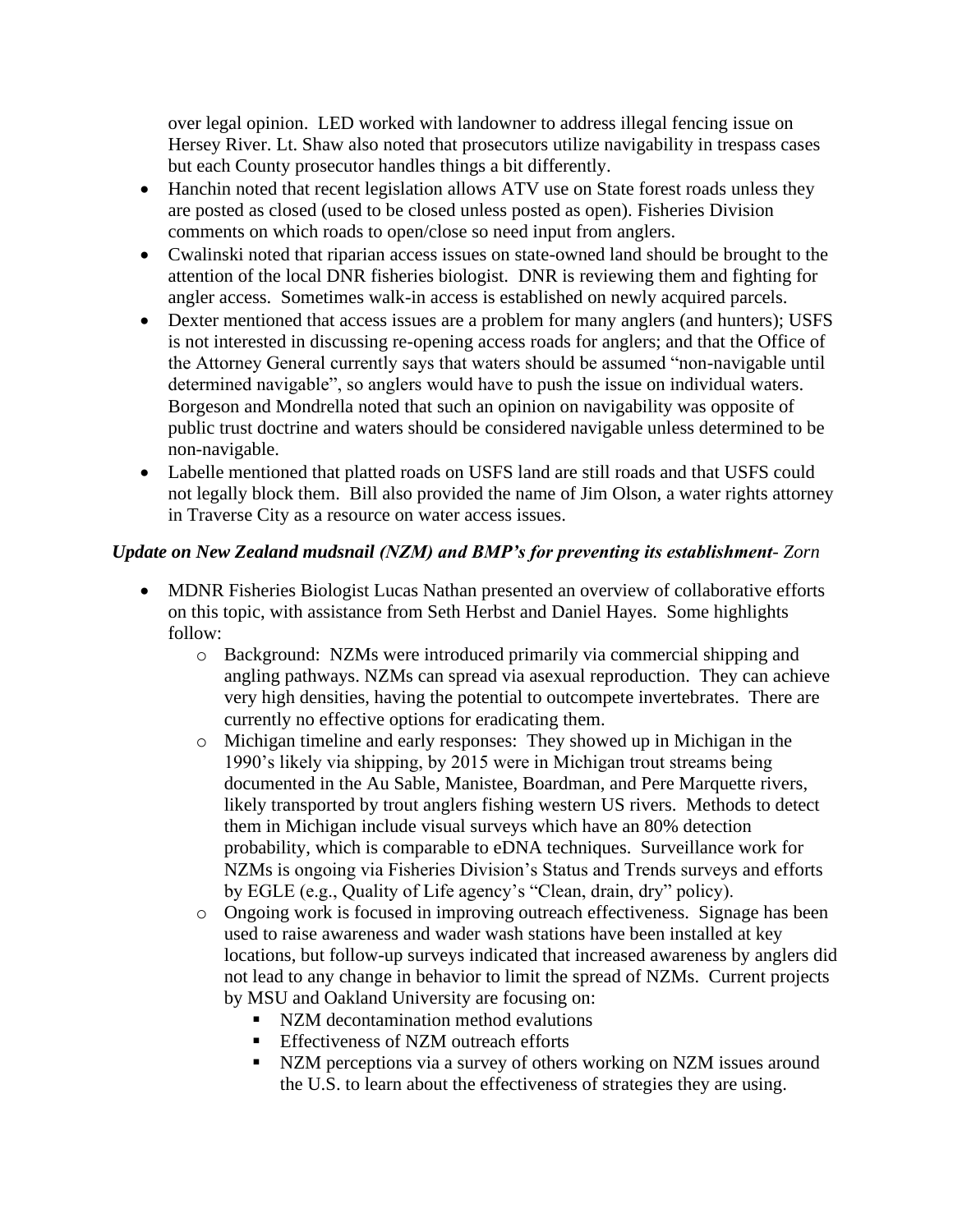over legal opinion. LED worked with landowner to address illegal fencing issue on Hersey River. Lt. Shaw also noted that prosecutors utilize navigability in trespass cases but each County prosecutor handles things a bit differently.

- Hanchin noted that recent legislation allows ATV use on State forest roads unless they are posted as closed (used to be closed unless posted as open). Fisheries Division comments on which roads to open/close so need input from anglers.
- Cwalinski noted that riparian access issues on state-owned land should be brought to the attention of the local DNR fisheries biologist. DNR is reviewing them and fighting for angler access. Sometimes walk-in access is established on newly acquired parcels.
- Dexter mentioned that access issues are a problem for many anglers (and hunters); USFS is not interested in discussing re-opening access roads for anglers; and that the Office of the Attorney General currently says that waters should be assumed "non-navigable until determined navigable", so anglers would have to push the issue on individual waters. Borgeson and Mondrella noted that such an opinion on navigability was opposite of public trust doctrine and waters should be considered navigable unless determined to be non-navigable.
- Labelle mentioned that platted roads on USFS land are still roads and that USFS could not legally block them. Bill also provided the name of Jim Olson, a water rights attorney in Traverse City as a resource on water access issues.

## *Update on New Zealand mudsnail (NZM) and BMP's for preventing its establishment- Zorn*

- MDNR Fisheries Biologist Lucas Nathan presented an overview of collaborative efforts on this topic, with assistance from Seth Herbst and Daniel Hayes. Some highlights follow:
	- o Background: NZMs were introduced primarily via commercial shipping and angling pathways. NZMs can spread via asexual reproduction. They can achieve very high densities, having the potential to outcompete invertebrates. There are currently no effective options for eradicating them.
	- o Michigan timeline and early responses: They showed up in Michigan in the 1990's likely via shipping, by 2015 were in Michigan trout streams being documented in the Au Sable, Manistee, Boardman, and Pere Marquette rivers, likely transported by trout anglers fishing western US rivers. Methods to detect them in Michigan include visual surveys which have an 80% detection probability, which is comparable to eDNA techniques. Surveillance work for NZMs is ongoing via Fisheries Division's Status and Trends surveys and efforts by EGLE (e.g., Quality of Life agency's "Clean, drain, dry" policy).
	- o Ongoing work is focused in improving outreach effectiveness. Signage has been used to raise awareness and wader wash stations have been installed at key locations, but follow-up surveys indicated that increased awareness by anglers did not lead to any change in behavior to limit the spread of NZMs. Current projects by MSU and Oakland University are focusing on:
		- NZM decontamination method evalutions
		- **Effectiveness of NZM outreach efforts**
		- NZM perceptions via a survey of others working on NZM issues around the U.S. to learn about the effectiveness of strategies they are using.